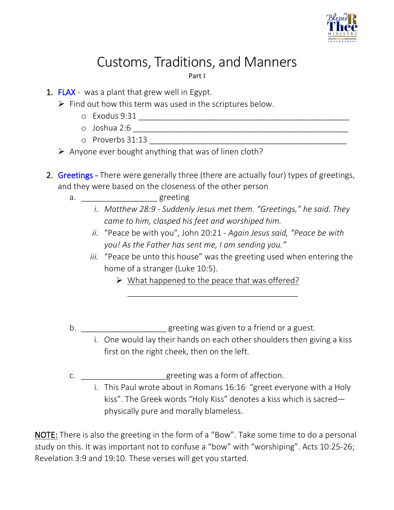

## Customs, Traditions, and Manners

Part I

- 1. FLAX was a plant that grew well in Egypt.
	- $\triangleright$  Find out how this term was used in the scriptures below.
		- o Exodus 9:31 \_\_\_\_\_\_\_\_\_\_\_\_\_\_\_\_\_\_\_\_\_\_\_\_\_\_\_\_\_\_\_\_\_\_\_\_\_\_\_\_\_\_\_\_\_\_\_
		- o Joshua 2:6 \_\_\_\_\_\_\_\_\_\_\_\_\_\_\_\_\_\_\_\_\_\_\_\_\_\_\_\_\_\_\_\_\_\_\_\_\_\_\_\_\_\_\_\_\_\_\_\_
		- $\circ$  Proverbs 31:13
	- $\triangleright$  Anyone ever bought anything that was of linen cloth?
- 2. Greetings There were generally three (there are actually four) types of greetings, and they were based on the closeness of the other person
	- a. \_\_\_\_\_\_\_\_\_\_\_\_\_\_\_\_\_\_\_\_\_greeting
		- *i. Matthew 28:9 - Suddenly Jesus met them. "Greetings," he said. They came to him, clasped his feet and worshiped him.*
			- *ii.* "Peace be with you", John 20:21 *Again Jesus said, "Peace be with you! As the Father has sent me, I am sending you."*
		- *iii.* "Peace be unto this house" was the greeting used when entering the home of a stranger (Luke 10:5).
			- $\triangleright$  What happened to the peace that was offered?

\_\_\_\_\_\_\_\_\_\_\_\_\_\_\_\_\_\_\_\_\_\_\_\_\_\_\_\_\_\_\_\_\_\_\_\_\_\_

- b. \_\_\_\_\_\_\_\_\_\_\_\_\_\_\_\_\_\_\_\_\_\_\_\_greeting was given to a friend or a guest.
	- i. One would lay their hands on each other shoulders then giving a kiss first on the right cheek, then on the left.
- c. \_\_\_\_\_\_\_\_\_\_\_\_\_\_\_\_\_\_\_greeting was a form of affection.
	- i. This Paul wrote about in Romans 16:16 "greet everyone with a Holy kiss". The Greek words "Holy Kiss" denotes a kiss which is sacred physically pure and morally blameless.

NOTE: There is also the greeting in the form of a "Bow". Take some time to do a personal study on this. It was important not to confuse a "bow" with "worshiping". Acts 10:25-26; Revelation 3:9 and 19:10. These verses will get you started.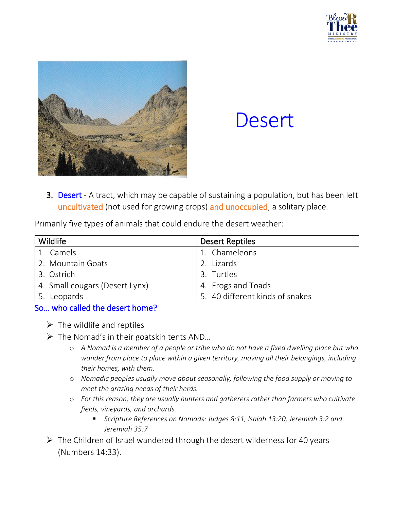



# **Desert**

3. Desert - A tract, which may be capable of sustaining a population, but has been left uncultivated (not used for growing crops) and unoccupied; a solitary place.

Primarily five types of animals that could endure the desert weather:

| Wildlife                       | <b>Desert Reptiles</b>          |  |
|--------------------------------|---------------------------------|--|
| 1. Camels                      | 1. Chameleons                   |  |
| 2. Mountain Goats              | 2. Lizards                      |  |
| 3. Ostrich                     | 3. Turtles                      |  |
| 4. Small cougars (Desert Lynx) | 4. Frogs and Toads              |  |
| 5. Leopards                    | 5. 40 different kinds of snakes |  |

#### So… who called the desert home?

- $\triangleright$  The wildlife and reptiles
- $\triangleright$  The Nomad's in their goatskin tents AND...
	- o *A Nomad is a member of a people or tribe who do not have a fixed dwelling place but who wander from place to place within a given territory, moving all their belongings, including their homes, with them.*
	- o *Nomadic peoples usually move about seasonally, following the food supply or moving to meet the grazing needs of their herds.*
	- o *For this reason, they are usually hunters and gatherers rather than farmers who cultivate fields, vineyards, and orchards.*
		- *Scripture References on Nomads: Judges 8:11, Isaiah 13:20, Jeremiah 3:2 and Jeremiah 35:7*
- $\triangleright$  The Children of Israel wandered through the desert wilderness for 40 years (Numbers 14:33).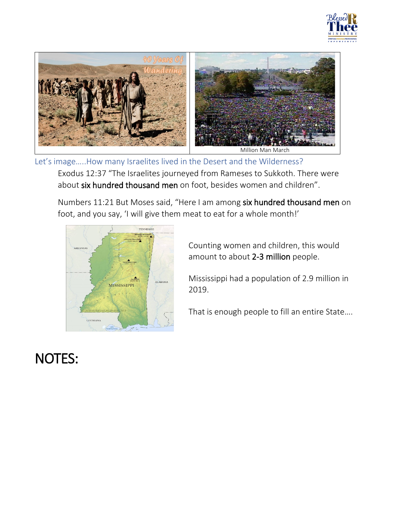



Let's image…..How many Israelites lived in the Desert and the Wilderness?

Exodus 12:37 "The Israelites journeyed from Rameses to Sukkoth. There were about six hundred thousand men on foot, besides women and children".

Numbers 11:21 But Moses said, "Here I am among six hundred thousand men on foot, and you say, 'I will give them meat to eat for a whole month!'



Counting women and children, this would amount to about 2-3 million people.

Mississippi had a population of 2.9 million in 2019.

That is enough people to fill an entire State….

## NOTES: